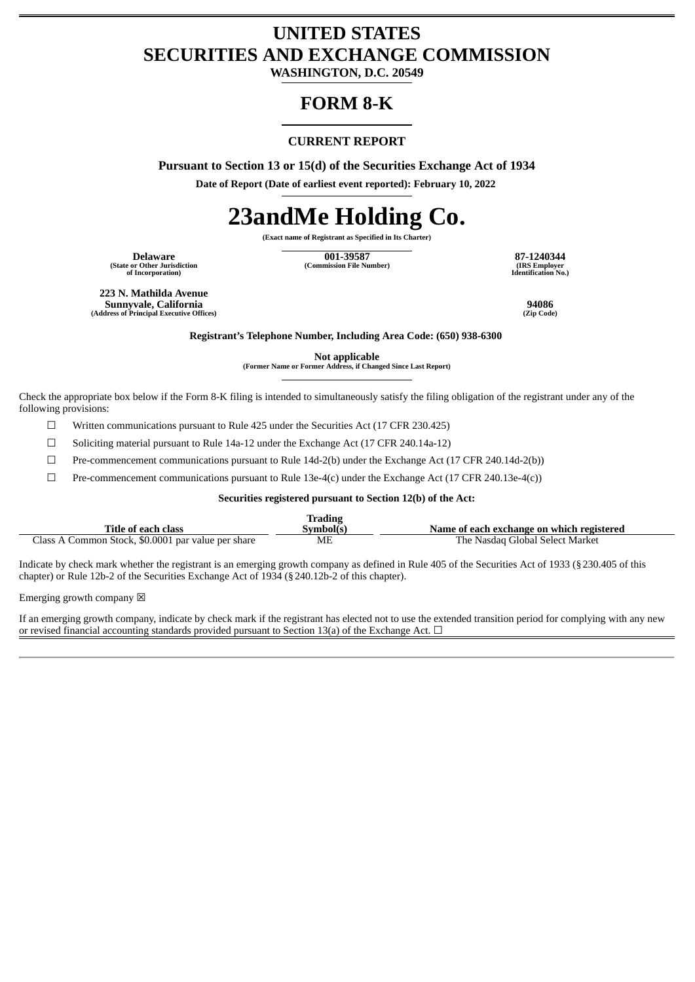# **UNITED STATES SECURITIES AND EXCHANGE COMMISSION**

**WASHINGTON, D.C. 20549**

# **FORM 8-K**

## **CURRENT REPORT**

**Pursuant to Section 13 or 15(d) of the Securities Exchange Act of 1934**

**Date of Report (Date of earliest event reported): February 10, 2022**

# **23andMe Holding Co.**

**(Exact name of Registrant as Specified in Its Charter)**

**(State or Other Jurisdiction of Incorporation)**

**Delaware 001-39587 87-1240344 (Commission File Number) (IRS Employer**

**Identification No.)**

**223 N. Mathilda Avenue Sunnyvale, California 94086 (Address of Principal Executive Offices) (Zip Code)**

**Registrant's Telephone Number, Including Area Code: (650) 938-6300**

**Not applicable**

**(Former Name or Former Address, if Changed Since Last Report)**

Check the appropriate box below if the Form 8-K filing is intended to simultaneously satisfy the filing obligation of the registrant under any of the following provisions:

 $\Box$  Written communications pursuant to Rule 425 under the Securities Act (17 CFR 230.425)

☐ Soliciting material pursuant to Rule 14a-12 under the Exchange Act (17 CFR 240.14a-12)

☐ Pre-commencement communications pursuant to Rule 14d-2(b) under the Exchange Act (17 CFR 240.14d-2(b))

 $□$  Pre-commencement communications pursuant to Rule 13e-4(c) under the Exchange Act (17 CFR 240.13e-4(c))

#### **Securities registered pursuant to Section 12(b) of the Act:**

|                                                    | <b>Trading</b> |                                           |
|----------------------------------------------------|----------------|-------------------------------------------|
| Title of each class                                | Svmbol(s`      | Name of each exchange on which registered |
| Class A Common Stock, \$0.0001 par value per share | MF             | The Nasdag Global Select Market           |

Indicate by check mark whether the registrant is an emerging growth company as defined in Rule 405 of the Securities Act of 1933 (§230.405 of this chapter) or Rule 12b-2 of the Securities Exchange Act of 1934 (§240.12b-2 of this chapter).

Emerging growth company  $\boxtimes$ 

If an emerging growth company, indicate by check mark if the registrant has elected not to use the extended transition period for complying with any new or revised financial accounting standards provided pursuant to Section 13(a) of the Exchange Act.  $\Box$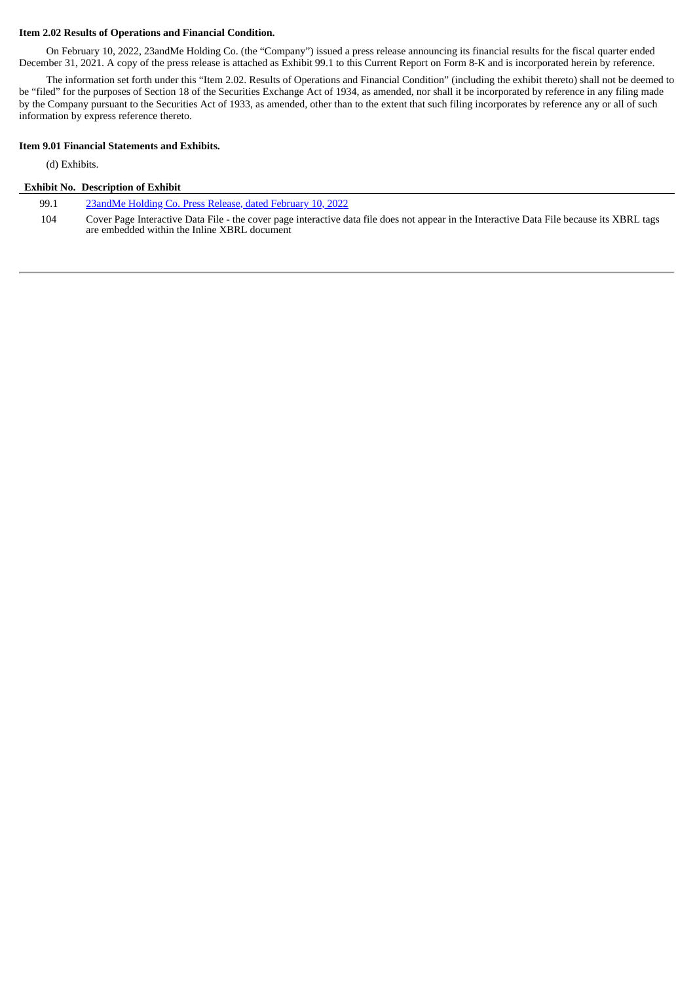#### **Item 2.02 Results of Operations and Financial Condition.**

On February 10, 2022, 23andMe Holding Co. (the "Company") issued a press release announcing its financial results for the fiscal quarter ended December 31, 2021. A copy of the press release is attached as Exhibit 99.1 to this Current Report on Form 8-K and is incorporated herein by reference.

The information set forth under this "Item 2.02. Results of Operations and Financial Condition" (including the exhibit thereto) shall not be deemed to be "filed" for the purposes of Section 18 of the Securities Exchange Act of 1934, as amended, nor shall it be incorporated by reference in any filing made by the Company pursuant to the Securities Act of 1933, as amended, other than to the extent that such filing incorporates by reference any or all of such information by express reference thereto.

#### **Item 9.01 Financial Statements and Exhibits.**

(d) Exhibits.

#### **Exhibit No. Description of Exhibit**

99.1 [23andMe](#page-3-0) Holding Co. Press Release, dated February 10, 2022

104 Cover Page Interactive Data File - the cover page interactive data file does not appear in the Interactive Data File because its XBRL tags are embedded within the Inline XBRL document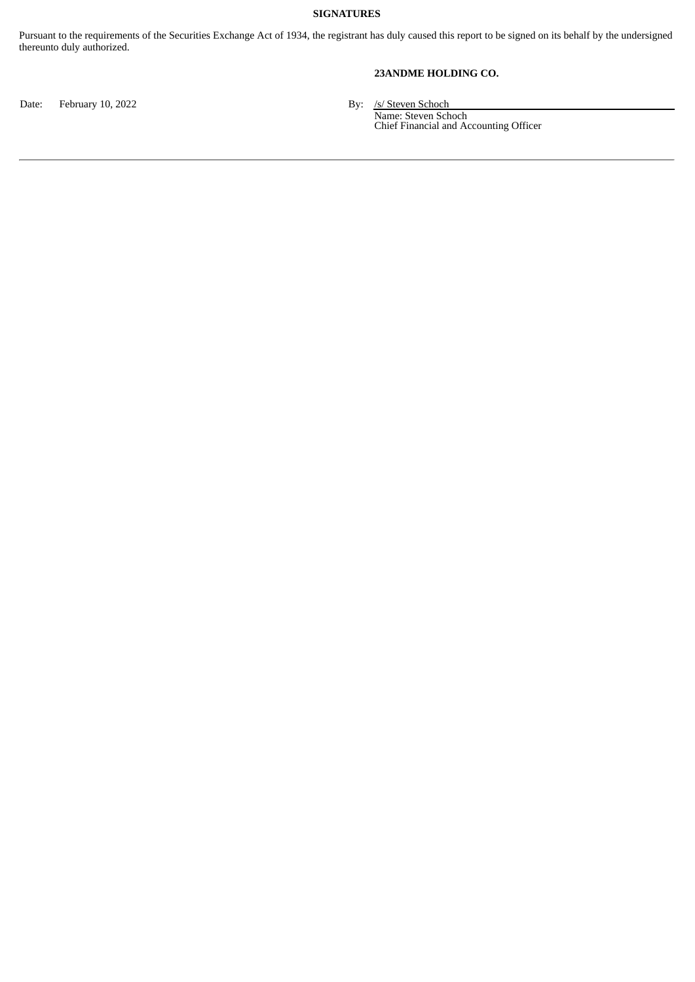## **SIGNATURES**

Pursuant to the requirements of the Securities Exchange Act of 1934, the registrant has duly caused this report to be signed on its behalf by the undersigned thereunto duly authorized.

## **23ANDME HOLDING CO.**

Date: February 10, 2022 and the state of the School By: /s/ Steven Schoch

Name: Steven Schoch Chief Financial and Accounting Officer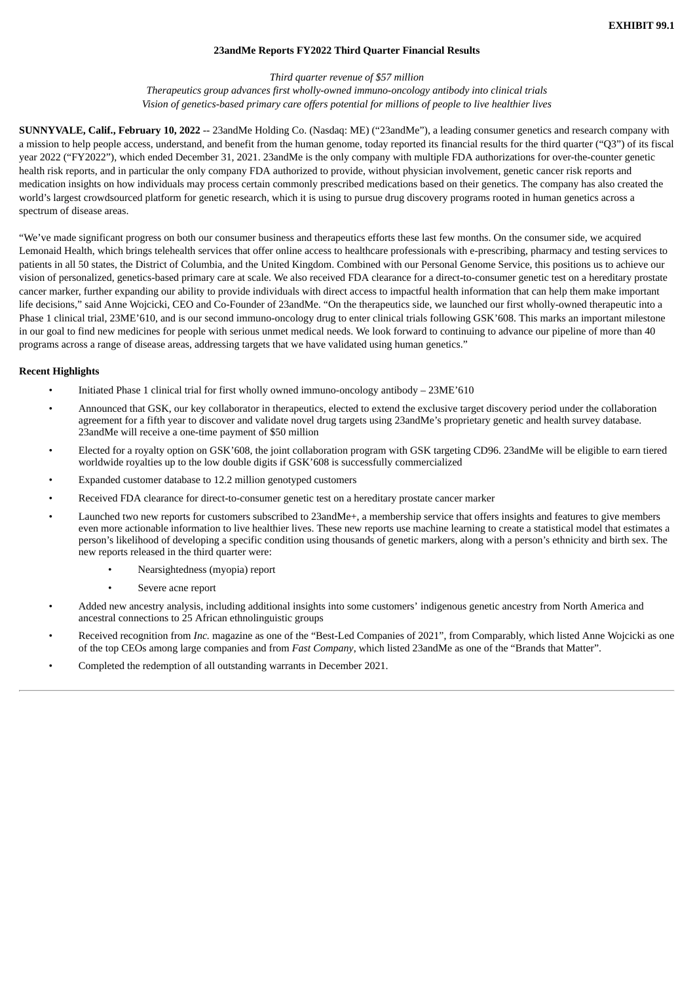#### **23andMe Reports FY2022 Third Quarter Financial Results**

# *Third quarter revenue of \$57 million*

*Therapeutics group advances first wholly-owned immuno-oncology antibody into clinical trials Vision of genetics-based primary care offers potential for millions of people to live healthier lives*

<span id="page-3-0"></span>**SUNNYVALE, Calif., February 10, 2022** -- 23andMe Holding Co. (Nasdaq: ME) ("23andMe"), a leading consumer genetics and research company with a mission to help people access, understand, and benefit from the human genome, today reported its financial results for the third quarter ("Q3") of its fiscal year 2022 ("FY2022"), which ended December 31, 2021. 23andMe is the only company with multiple FDA authorizations for over-the-counter genetic health risk reports, and in particular the only company FDA authorized to provide, without physician involvement, genetic cancer risk reports and medication insights on how individuals may process certain commonly prescribed medications based on their genetics. The company has also created the world's largest crowdsourced platform for genetic research, which it is using to pursue drug discovery programs rooted in human genetics across a spectrum of disease areas.

"We've made significant progress on both our consumer business and therapeutics efforts these last few months. On the consumer side, we acquired Lemonaid Health, which brings telehealth services that offer online access to healthcare professionals with e-prescribing, pharmacy and testing services to patients in all 50 states, the District of Columbia, and the United Kingdom. Combined with our Personal Genome Service, this positions us to achieve our vision of personalized, genetics-based primary care at scale. We also received FDA clearance for a direct-to-consumer genetic test on a hereditary prostate cancer marker, further expanding our ability to provide individuals with direct access to impactful health information that can help them make important life decisions," said Anne Wojcicki, CEO and Co-Founder of 23andMe. "On the therapeutics side, we launched our first wholly-owned therapeutic into a Phase 1 clinical trial, 23ME'610, and is our second immuno-oncology drug to enter clinical trials following GSK'608. This marks an important milestone in our goal to find new medicines for people with serious unmet medical needs. We look forward to continuing to advance our pipeline of more than 40 programs across a range of disease areas, addressing targets that we have validated using human genetics."

#### **Recent Highlights**

- Initiated Phase 1 clinical trial for first wholly owned immuno-oncology antibody 23ME'610
- Announced that GSK, our key collaborator in therapeutics, elected to extend the exclusive target discovery period under the collaboration agreement for a fifth year to discover and validate novel drug targets using 23andMe's proprietary genetic and health survey database. 23andMe will receive a one-time payment of \$50 million
- Elected for a royalty option on GSK'608, the joint collaboration program with GSK targeting CD96. 23andMe will be eligible to earn tiered worldwide royalties up to the low double digits if GSK'608 is successfully commercialized
- Expanded customer database to 12.2 million genotyped customers
- Received FDA clearance for direct-to-consumer genetic test on a hereditary prostate cancer marker
- Launched two new reports for customers subscribed to 23andMe+, a membership service that offers insights and features to give members even more actionable information to live healthier lives. These new reports use machine learning to create a statistical model that estimates a person's likelihood of developing a specific condition using thousands of genetic markers, along with a person's ethnicity and birth sex. The new reports released in the third quarter were:
	- Nearsightedness (myopia) report
	- Severe acne report
- Added new ancestry analysis, including additional insights into some customers' indigenous genetic ancestry from North America and ancestral connections to 25 African ethnolinguistic groups
- Received recognition from *Inc.* magazine as one of the "Best-Led Companies of 2021", from Comparably, which listed Anne Wojcicki as one of the top CEOs among large companies and from *Fast Company*, which listed 23andMe as one of the "Brands that Matter".
- Completed the redemption of all outstanding warrants in December 2021.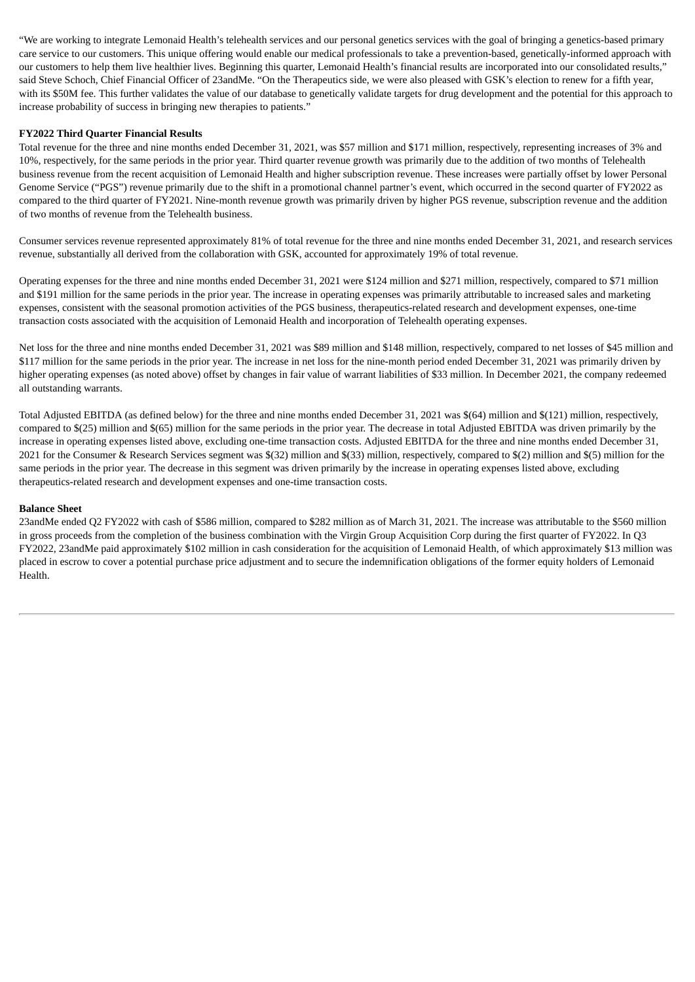"We are working to integrate Lemonaid Health's telehealth services and our personal genetics services with the goal of bringing a genetics-based primary care service to our customers. This unique offering would enable our medical professionals to take a prevention-based, genetically-informed approach with our customers to help them live healthier lives. Beginning this quarter, Lemonaid Health's financial results are incorporated into our consolidated results," said Steve Schoch, Chief Financial Officer of 23andMe. "On the Therapeutics side, we were also pleased with GSK's election to renew for a fifth year, with its \$50M fee. This further validates the value of our database to genetically validate targets for drug development and the potential for this approach to increase probability of success in bringing new therapies to patients."

#### **FY2022 Third Quarter Financial Results**

Total revenue for the three and nine months ended December 31, 2021, was \$57 million and \$171 million, respectively, representing increases of 3% and 10%, respectively, for the same periods in the prior year. Third quarter revenue growth was primarily due to the addition of two months of Telehealth business revenue from the recent acquisition of Lemonaid Health and higher subscription revenue. These increases were partially offset by lower Personal Genome Service ("PGS") revenue primarily due to the shift in a promotional channel partner's event, which occurred in the second quarter of FY2022 as compared to the third quarter of FY2021. Nine-month revenue growth was primarily driven by higher PGS revenue, subscription revenue and the addition of two months of revenue from the Telehealth business.

Consumer services revenue represented approximately 81% of total revenue for the three and nine months ended December 31, 2021, and research services revenue, substantially all derived from the collaboration with GSK, accounted for approximately 19% of total revenue.

Operating expenses for the three and nine months ended December 31, 2021 were \$124 million and \$271 million, respectively, compared to \$71 million and \$191 million for the same periods in the prior year. The increase in operating expenses was primarily attributable to increased sales and marketing expenses, consistent with the seasonal promotion activities of the PGS business, therapeutics-related research and development expenses, one-time transaction costs associated with the acquisition of Lemonaid Health and incorporation of Telehealth operating expenses.

Net loss for the three and nine months ended December 31, 2021 was \$89 million and \$148 million, respectively, compared to net losses of \$45 million and \$117 million for the same periods in the prior year. The increase in net loss for the nine-month period ended December 31, 2021 was primarily driven by higher operating expenses (as noted above) offset by changes in fair value of warrant liabilities of \$33 million. In December 2021, the company redeemed all outstanding warrants.

Total Adjusted EBITDA (as defined below) for the three and nine months ended December 31, 2021 was \$(64) million and \$(121) million, respectively, compared to \$(25) million and \$(65) million for the same periods in the prior year. The decrease in total Adjusted EBITDA was driven primarily by the increase in operating expenses listed above, excluding one-time transaction costs. Adjusted EBITDA for the three and nine months ended December 31, 2021 for the Consumer & Research Services segment was \$(32) million and \$(33) million, respectively, compared to \$(2) million and \$(5) million for the same periods in the prior year. The decrease in this segment was driven primarily by the increase in operating expenses listed above, excluding therapeutics-related research and development expenses and one-time transaction costs.

#### **Balance Sheet**

23andMe ended Q2 FY2022 with cash of \$586 million, compared to \$282 million as of March 31, 2021. The increase was attributable to the \$560 million in gross proceeds from the completion of the business combination with the Virgin Group Acquisition Corp during the first quarter of FY2022. In Q3 FY2022, 23andMe paid approximately \$102 million in cash consideration for the acquisition of Lemonaid Health, of which approximately \$13 million was placed in escrow to cover a potential purchase price adjustment and to secure the indemnification obligations of the former equity holders of Lemonaid Health.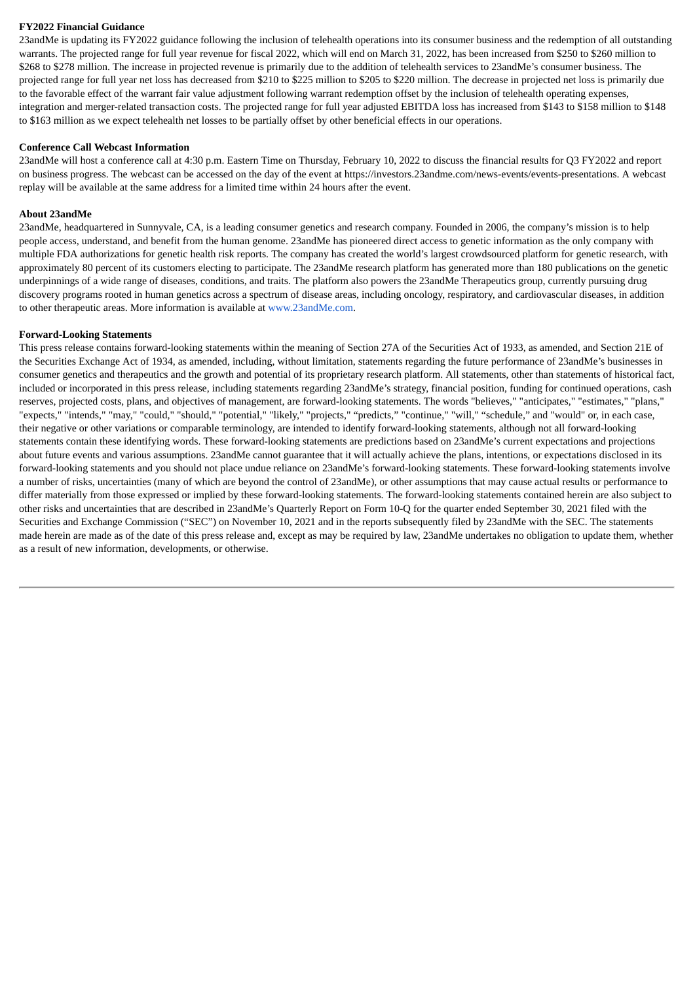#### **FY2022 Financial Guidance**

23andMe is updating its FY2022 guidance following the inclusion of telehealth operations into its consumer business and the redemption of all outstanding warrants. The projected range for full year revenue for fiscal 2022, which will end on March 31, 2022, has been increased from \$250 to \$260 million to \$268 to \$278 million. The increase in projected revenue is primarily due to the addition of telehealth services to 23andMe's consumer business. The projected range for full year net loss has decreased from \$210 to \$225 million to \$205 to \$220 million. The decrease in projected net loss is primarily due to the favorable effect of the warrant fair value adjustment following warrant redemption offset by the inclusion of telehealth operating expenses, integration and merger-related transaction costs. The projected range for full year adjusted EBITDA loss has increased from \$143 to \$158 million to \$148 to \$163 million as we expect telehealth net losses to be partially offset by other beneficial effects in our operations.

#### **Conference Call Webcast Information**

23andMe will host a conference call at 4:30 p.m. Eastern Time on Thursday, February 10, 2022 to discuss the financial results for Q3 FY2022 and report on business progress. The webcast can be accessed on the day of the event at https://investors.23andme.com/news-events/events-presentations. A webcast replay will be available at the same address for a limited time within 24 hours after the event.

#### **About 23andMe**

23andMe, headquartered in Sunnyvale, CA, is a leading consumer genetics and research company. Founded in 2006, the company's mission is to help people access, understand, and benefit from the human genome. 23andMe has pioneered direct access to genetic information as the only company with multiple FDA authorizations for genetic health risk reports. The company has created the world's largest crowdsourced platform for genetic research, with approximately 80 percent of its customers electing to participate. The 23andMe research platform has generated more than 180 publications on the genetic underpinnings of a wide range of diseases, conditions, and traits. The platform also powers the 23andMe Therapeutics group, currently pursuing drug discovery programs rooted in human genetics across a spectrum of disease areas, including oncology, respiratory, and cardiovascular diseases, in addition to other therapeutic areas. More information is available at www.23andMe.com.

#### **Forward-Looking Statements**

This press release contains forward-looking statements within the meaning of Section 27A of the Securities Act of 1933, as amended, and Section 21E of the Securities Exchange Act of 1934, as amended, including, without limitation, statements regarding the future performance of 23andMe's businesses in consumer genetics and therapeutics and the growth and potential of its proprietary research platform. All statements, other than statements of historical fact, included or incorporated in this press release, including statements regarding 23andMe's strategy, financial position, funding for continued operations, cash reserves, projected costs, plans, and objectives of management, are forward-looking statements. The words "believes," "anticipates," "estimates," "plans," "expects," "intends," "may," "could," "should," "potential," "likely," "projects," "predicts," "continue," "will," "schedule," and "would" or, in each case, their negative or other variations or comparable terminology, are intended to identify forward-looking statements, although not all forward-looking statements contain these identifying words. These forward-looking statements are predictions based on 23andMe's current expectations and projections about future events and various assumptions. 23andMe cannot guarantee that it will actually achieve the plans, intentions, or expectations disclosed in its forward-looking statements and you should not place undue reliance on 23andMe's forward-looking statements. These forward-looking statements involve a number of risks, uncertainties (many of which are beyond the control of 23andMe), or other assumptions that may cause actual results or performance to differ materially from those expressed or implied by these forward-looking statements. The forward-looking statements contained herein are also subject to other risks and uncertainties that are described in 23andMe's Quarterly Report on Form 10-Q for the quarter ended September 30, 2021 filed with the Securities and Exchange Commission ("SEC") on November 10, 2021 and in the reports subsequently filed by 23andMe with the SEC. The statements made herein are made as of the date of this press release and, except as may be required by law, 23andMe undertakes no obligation to update them, whether as a result of new information, developments, or otherwise.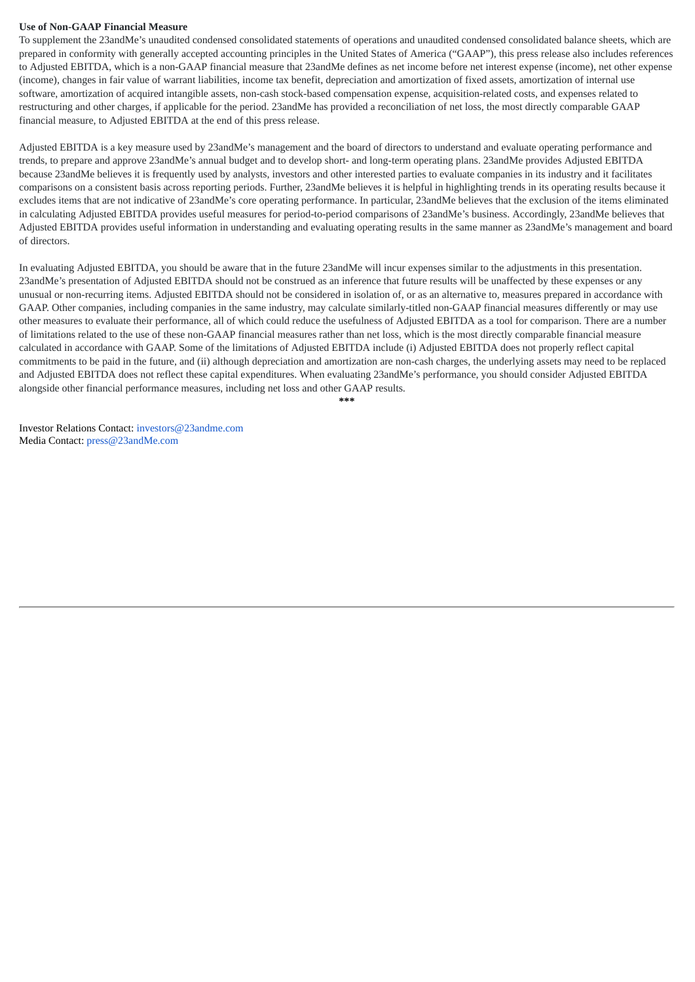#### **Use of Non-GAAP Financial Measure**

To supplement the 23andMe's unaudited condensed consolidated statements of operations and unaudited condensed consolidated balance sheets, which are prepared in conformity with generally accepted accounting principles in the United States of America ("GAAP"), this press release also includes references to Adjusted EBITDA, which is a non-GAAP financial measure that 23andMe defines as net income before net interest expense (income), net other expense (income), changes in fair value of warrant liabilities, income tax benefit, depreciation and amortization of fixed assets, amortization of internal use software, amortization of acquired intangible assets, non-cash stock-based compensation expense, acquisition-related costs, and expenses related to restructuring and other charges, if applicable for the period. 23andMe has provided a reconciliation of net loss, the most directly comparable GAAP financial measure, to Adjusted EBITDA at the end of this press release.

Adjusted EBITDA is a key measure used by 23andMe's management and the board of directors to understand and evaluate operating performance and trends, to prepare and approve 23andMe's annual budget and to develop short- and long-term operating plans. 23andMe provides Adjusted EBITDA because 23andMe believes it is frequently used by analysts, investors and other interested parties to evaluate companies in its industry and it facilitates comparisons on a consistent basis across reporting periods. Further, 23andMe believes it is helpful in highlighting trends in its operating results because it excludes items that are not indicative of 23andMe's core operating performance. In particular, 23andMe believes that the exclusion of the items eliminated in calculating Adjusted EBITDA provides useful measures for period-to-period comparisons of 23andMe's business. Accordingly, 23andMe believes that Adjusted EBITDA provides useful information in understanding and evaluating operating results in the same manner as 23andMe's management and board of directors.

In evaluating Adjusted EBITDA, you should be aware that in the future 23andMe will incur expenses similar to the adjustments in this presentation. 23andMe's presentation of Adjusted EBITDA should not be construed as an inference that future results will be unaffected by these expenses or any unusual or non-recurring items. Adjusted EBITDA should not be considered in isolation of, or as an alternative to, measures prepared in accordance with GAAP. Other companies, including companies in the same industry, may calculate similarly-titled non-GAAP financial measures differently or may use other measures to evaluate their performance, all of which could reduce the usefulness of Adjusted EBITDA as a tool for comparison. There are a number of limitations related to the use of these non-GAAP financial measures rather than net loss, which is the most directly comparable financial measure calculated in accordance with GAAP. Some of the limitations of Adjusted EBITDA include (i) Adjusted EBITDA does not properly reflect capital commitments to be paid in the future, and (ii) although depreciation and amortization are non-cash charges, the underlying assets may need to be replaced and Adjusted EBITDA does not reflect these capital expenditures. When evaluating 23andMe's performance, you should consider Adjusted EBITDA alongside other financial performance measures, including net loss and other GAAP results.

**\*\*\***

Investor Relations Contact: investors@23andme.com Media Contact: press@23andMe.com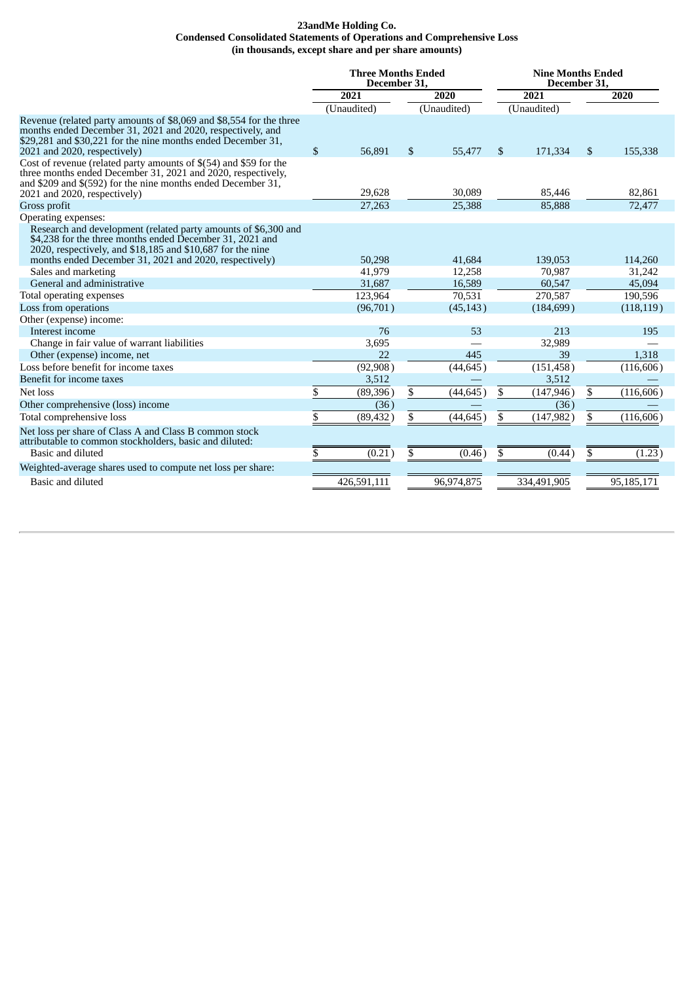#### **23andMe Holding Co. Condensed Consolidated Statements of Operations and Comprehensive Loss (in thousands, except share and per share amounts)**

|                                                                                                                                                                                                                                                    | <b>Three Months Ended</b><br>December 31. |             |              | <b>Nine Months Ended</b><br>December 31. |      |             |    |            |
|----------------------------------------------------------------------------------------------------------------------------------------------------------------------------------------------------------------------------------------------------|-------------------------------------------|-------------|--------------|------------------------------------------|------|-------------|----|------------|
|                                                                                                                                                                                                                                                    | 2021<br>2020                              |             | 2021         |                                          | 2020 |             |    |            |
|                                                                                                                                                                                                                                                    |                                           | (Unaudited) |              | (Unaudited)                              |      | (Unaudited) |    |            |
| Revenue (related party amounts of \$8,069 and \$8,554 for the three<br>months ended December 31, 2021 and 2020, respectively, and<br>\$29,281 and \$30,221 for the nine months ended December 31,<br>2021 and 2020, respectively)                  | $\mathbb{S}$                              | 56,891      | $\mathbb{S}$ | 55,477                                   | \$.  | 171,334     | \$ | 155,338    |
| Cost of revenue (related party amounts of \$(54) and \$59 for the<br>three months ended December 31, 2021 and 2020, respectively,<br>and \$209 and \$(592) for the nine months ended December 31,<br>2021 and 2020, respectively)                  |                                           | 29,628      |              | 30,089                                   |      | 85,446      |    | 82.861     |
| Gross profit                                                                                                                                                                                                                                       |                                           | 27,263      |              | 25,388                                   |      | 85,888      |    | 72,477     |
| Operating expenses:                                                                                                                                                                                                                                |                                           |             |              |                                          |      |             |    |            |
| Research and development (related party amounts of \$6,300 and<br>\$4,238 for the three months ended December 31, 2021 and<br>2020, respectively, and \$18,185 and \$10,687 for the nine<br>months ended December 31, 2021 and 2020, respectively) |                                           | 50,298      |              | 41,684                                   |      | 139,053     |    | 114,260    |
| Sales and marketing                                                                                                                                                                                                                                |                                           | 41,979      |              | 12,258                                   |      | 70,987      |    | 31,242     |
| General and administrative                                                                                                                                                                                                                         |                                           | 31,687      |              | 16,589                                   |      | 60,547      |    | 45,094     |
| Total operating expenses                                                                                                                                                                                                                           |                                           | 123,964     |              | 70,531                                   |      | 270.587     |    | 190,596    |
| Loss from operations                                                                                                                                                                                                                               |                                           | (96,701)    |              | (45, 143)                                |      | (184, 699)  |    | (118, 119) |
| Other (expense) income:                                                                                                                                                                                                                            |                                           |             |              |                                          |      |             |    |            |
| Interest income                                                                                                                                                                                                                                    |                                           | 76          |              | 53                                       |      | 213         |    | 195        |
| Change in fair value of warrant liabilities                                                                                                                                                                                                        |                                           | 3,695       |              |                                          |      | 32,989      |    |            |
| Other (expense) income, net                                                                                                                                                                                                                        |                                           | 22          |              | 445                                      |      | 39          |    | 1,318      |
| Loss before benefit for income taxes                                                                                                                                                                                                               |                                           | (92, 908)   |              | (44, 645)                                |      | (151, 458)  |    | (116, 606) |
| Benefit for income taxes                                                                                                                                                                                                                           |                                           | 3,512       |              |                                          |      | 3,512       |    |            |
| Net loss                                                                                                                                                                                                                                           | \$                                        | (89, 396)   | \$           | (44, 645)                                | \$   | (147, 946)  | \$ | (116, 606) |
| Other comprehensive (loss) income                                                                                                                                                                                                                  |                                           | (36)        |              |                                          |      | (36)        |    |            |
| Total comprehensive loss                                                                                                                                                                                                                           | \$                                        | (89, 432)   | \$           | (44, 645)                                | \$   | (147, 982)  | \$ | (116, 606) |
| Net loss per share of Class A and Class B common stock<br>attributable to common stockholders, basic and diluted:                                                                                                                                  |                                           |             |              |                                          |      |             |    |            |
| Basic and diluted                                                                                                                                                                                                                                  |                                           | (0.21)      | S            | (0.46)                                   |      | (0.44)      | \$ | (1.23)     |
| Weighted-average shares used to compute net loss per share:                                                                                                                                                                                        |                                           |             |              |                                          |      |             |    |            |
| Basic and diluted                                                                                                                                                                                                                                  |                                           | 426,591,111 |              | 96.974.875                               |      | 334,491,905 |    | 95,185,171 |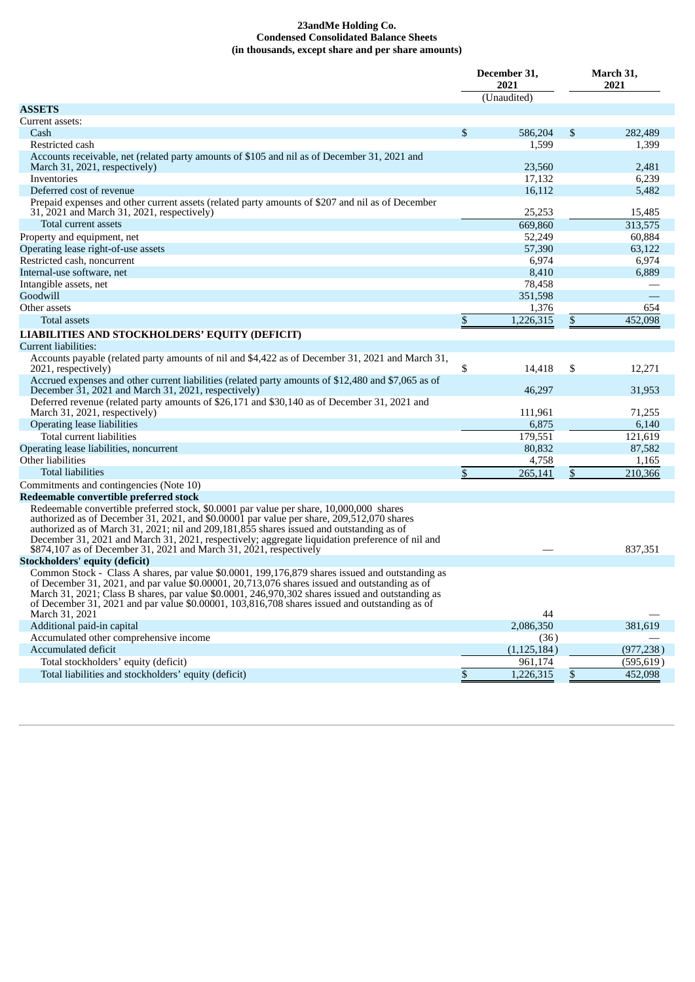#### **23andMe Holding Co. Condensed Consolidated Balance Sheets (in thousands, except share and per share amounts)**

|                                                                                                                                                                                                                                                                                                                                                                                                                                                           | December 31,<br>2021 | March 31,<br>2021 |            |  |
|-----------------------------------------------------------------------------------------------------------------------------------------------------------------------------------------------------------------------------------------------------------------------------------------------------------------------------------------------------------------------------------------------------------------------------------------------------------|----------------------|-------------------|------------|--|
|                                                                                                                                                                                                                                                                                                                                                                                                                                                           | (Unaudited)          |                   |            |  |
| <b>ASSETS</b>                                                                                                                                                                                                                                                                                                                                                                                                                                             |                      |                   |            |  |
| Current assets:                                                                                                                                                                                                                                                                                                                                                                                                                                           |                      |                   |            |  |
| Cash                                                                                                                                                                                                                                                                                                                                                                                                                                                      | \$<br>586,204        | \$                | 282,489    |  |
| Restricted cash                                                                                                                                                                                                                                                                                                                                                                                                                                           | 1,599                |                   | 1,399      |  |
| Accounts receivable, net (related party amounts of \$105 and nil as of December 31, 2021 and<br>March 31, 2021, respectively)                                                                                                                                                                                                                                                                                                                             | 23,560               |                   | 2,481      |  |
| Inventories                                                                                                                                                                                                                                                                                                                                                                                                                                               | 17,132               |                   | 6,239      |  |
| Deferred cost of revenue                                                                                                                                                                                                                                                                                                                                                                                                                                  | 16,112               |                   | 5,482      |  |
| Prepaid expenses and other current assets (related party amounts of \$207 and nil as of December<br>31, 2021 and March 31, 2021, respectively)                                                                                                                                                                                                                                                                                                            | 25,253               |                   | 15,485     |  |
| Total current assets                                                                                                                                                                                                                                                                                                                                                                                                                                      | 669.860              |                   | 313,575    |  |
| Property and equipment, net                                                                                                                                                                                                                                                                                                                                                                                                                               | 52,249               |                   | 60,884     |  |
| Operating lease right-of-use assets                                                                                                                                                                                                                                                                                                                                                                                                                       | 57,390               |                   | 63,122     |  |
| Restricted cash, noncurrent                                                                                                                                                                                                                                                                                                                                                                                                                               | 6,974                |                   | 6,974      |  |
| Internal-use software, net                                                                                                                                                                                                                                                                                                                                                                                                                                | 8,410                |                   | 6,889      |  |
| Intangible assets, net                                                                                                                                                                                                                                                                                                                                                                                                                                    | 78,458               |                   |            |  |
| Goodwill                                                                                                                                                                                                                                                                                                                                                                                                                                                  | 351,598              |                   |            |  |
| Other assets                                                                                                                                                                                                                                                                                                                                                                                                                                              | 1,376                |                   | 654        |  |
| <b>Total assets</b>                                                                                                                                                                                                                                                                                                                                                                                                                                       | \$<br>1,226,315      | \$                | 452,098    |  |
|                                                                                                                                                                                                                                                                                                                                                                                                                                                           |                      |                   |            |  |
| LIABILITIES AND STOCKHOLDERS' EQUITY (DEFICIT)                                                                                                                                                                                                                                                                                                                                                                                                            |                      |                   |            |  |
| Current liabilities:                                                                                                                                                                                                                                                                                                                                                                                                                                      |                      |                   |            |  |
| Accounts payable (related party amounts of nil and \$4,422 as of December 31, 2021 and March 31,<br>2021, respectively)                                                                                                                                                                                                                                                                                                                                   | \$<br>14,418         | \$                | 12,271     |  |
| Accrued expenses and other current liabilities (related party amounts of \$12,480 and \$7,065 as of<br>December 31, 2021 and March 31, 2021, respectively)                                                                                                                                                                                                                                                                                                | 46,297               |                   | 31,953     |  |
| Deferred revenue (related party amounts of \$26,171 and \$30,140 as of December 31, 2021 and<br>March 31, 2021, respectively)                                                                                                                                                                                                                                                                                                                             | 111,961              |                   | 71,255     |  |
| <b>Operating lease liabilities</b>                                                                                                                                                                                                                                                                                                                                                                                                                        | 6,875                |                   | 6,140      |  |
| Total current liabilities                                                                                                                                                                                                                                                                                                                                                                                                                                 | 179,551              |                   | 121,619    |  |
| Operating lease liabilities, noncurrent                                                                                                                                                                                                                                                                                                                                                                                                                   | 80,832               |                   | 87,582     |  |
| Other liabilities                                                                                                                                                                                                                                                                                                                                                                                                                                         | 4,758                |                   | 1,165      |  |
| <b>Total liabilities</b>                                                                                                                                                                                                                                                                                                                                                                                                                                  | \$<br>265,141        | $\mathfrak{s}$    | 210,366    |  |
| Commitments and contingencies (Note 10)                                                                                                                                                                                                                                                                                                                                                                                                                   |                      |                   |            |  |
| Redeemable convertible preferred stock                                                                                                                                                                                                                                                                                                                                                                                                                    |                      |                   |            |  |
| Redeemable convertible preferred stock, \$0.0001 par value per share, 10,000,000 shares<br>authorized as of December 31, 2021, and \$0.00001 par value per share, 209,512,070 shares<br>authorized as of March 31, 2021; nil and 209,181,855 shares issued and outstanding as of<br>December 31, 2021 and March 31, 2021, respectively; aggregate liquidation preference of nil and<br>\$874,107 as of December 31, 2021 and March 31, 2021, respectively |                      |                   | 837,351    |  |
| <b>Stockholders' equity (deficit)</b>                                                                                                                                                                                                                                                                                                                                                                                                                     |                      |                   |            |  |
| Common Stock - Class A shares, par value \$0.0001, 199,176,879 shares issued and outstanding as<br>of December 31, 2021, and par value \$0.00001, 20,713,076 shares issued and outstanding as of<br>March 31, 2021; Class B shares, par value \$0.0001, 246,970,302 shares issued and outstanding as<br>of December 31, 2021 and par value \$0.00001, 103,816,708 shares issued and outstanding as of                                                     |                      |                   |            |  |
| March 31, 2021                                                                                                                                                                                                                                                                                                                                                                                                                                            | 44                   |                   |            |  |
| Additional paid-in capital                                                                                                                                                                                                                                                                                                                                                                                                                                | 2,086,350            |                   | 381,619    |  |
| Accumulated other comprehensive income                                                                                                                                                                                                                                                                                                                                                                                                                    | (36)                 |                   |            |  |
| Accumulated deficit                                                                                                                                                                                                                                                                                                                                                                                                                                       | (1, 125, 184)        |                   | (977, 238) |  |
| Total stockholders' equity (deficit)                                                                                                                                                                                                                                                                                                                                                                                                                      | 961.174              |                   | (595, 619) |  |
| Total liabilities and stockholders' equity (deficit)                                                                                                                                                                                                                                                                                                                                                                                                      | \$<br>1,226,315      | $$\mathbb{S}$$    | 452,098    |  |
|                                                                                                                                                                                                                                                                                                                                                                                                                                                           |                      |                   |            |  |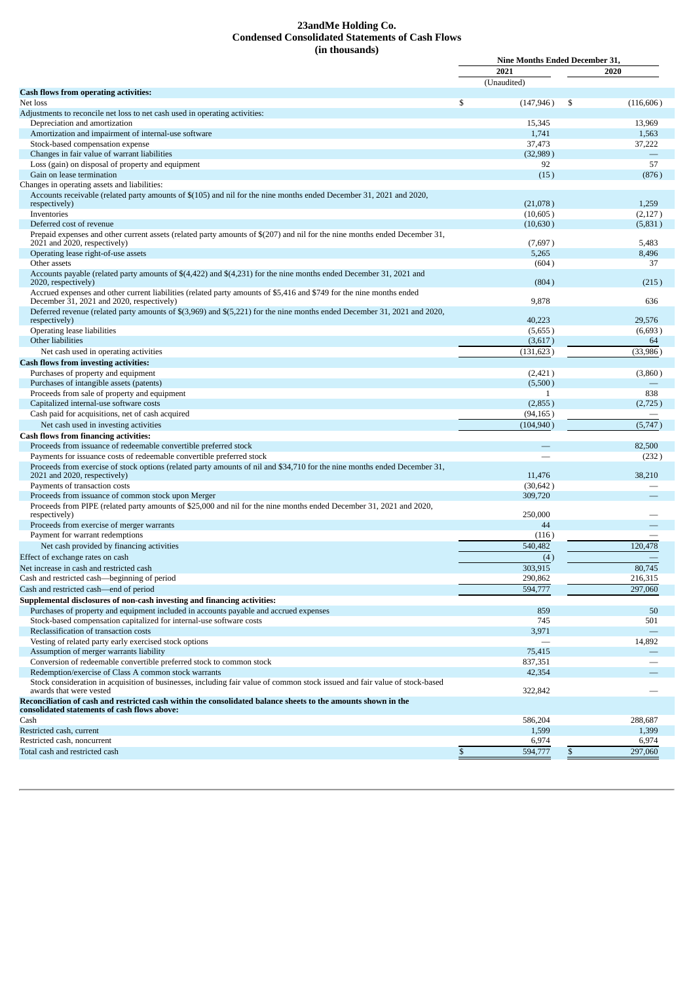#### **23andMe Holding Co. Condensed Consolidated Statements of Cash Flows (in thousands)**

|                                                                                                                             | <b>Nine Months Ended December 31,</b> |    |                  |  |  |
|-----------------------------------------------------------------------------------------------------------------------------|---------------------------------------|----|------------------|--|--|
|                                                                                                                             | 2021                                  |    | 2020             |  |  |
|                                                                                                                             | (Unaudited)                           |    |                  |  |  |
| Cash flows from operating activities:                                                                                       |                                       |    |                  |  |  |
| Net loss                                                                                                                    | \$<br>(147, 946)                      | \$ | (116, 606)       |  |  |
| Adjustments to reconcile net loss to net cash used in operating activities:                                                 |                                       |    |                  |  |  |
| Depreciation and amortization                                                                                               | 15,345                                |    | 13,969           |  |  |
| Amortization and impairment of internal-use software                                                                        | 1,741                                 |    | 1,563            |  |  |
| Stock-based compensation expense                                                                                            | 37,473                                |    | 37,222           |  |  |
| Changes in fair value of warrant liabilities                                                                                | (32, 989)                             |    |                  |  |  |
| Loss (gain) on disposal of property and equipment                                                                           | 92                                    |    | 57               |  |  |
| Gain on lease termination                                                                                                   |                                       |    |                  |  |  |
|                                                                                                                             | (15)                                  |    | (876)            |  |  |
| Changes in operating assets and liabilities:                                                                                |                                       |    |                  |  |  |
| Accounts receivable (related party amounts of \$(105) and nil for the nine months ended December 31, 2021 and 2020,         |                                       |    |                  |  |  |
| respectively)                                                                                                               | (21,078)                              |    | 1,259            |  |  |
| Inventories                                                                                                                 | (10,605)                              |    | (2,127)          |  |  |
| Deferred cost of revenue                                                                                                    | (10,630)                              |    | (5,831)          |  |  |
| Prepaid expenses and other current assets (related party amounts of \$(207) and nil for the nine months ended December 31,  |                                       |    |                  |  |  |
| 2021 and 2020, respectively)                                                                                                | (7,697)                               |    | 5,483            |  |  |
| Operating lease right-of-use assets                                                                                         | 5,265                                 |    | 8,496            |  |  |
| Other assets                                                                                                                | (604)                                 |    | 37               |  |  |
| Accounts payable (related party amounts of \$(4,422) and \$(4,231) for the nine months ended December 31, 2021 and          |                                       |    |                  |  |  |
| 2020, respectively)                                                                                                         | (804)                                 |    | (215)            |  |  |
| Accrued expenses and other current liabilities (related party amounts of \$5,416 and \$749 for the nine months ended        |                                       |    |                  |  |  |
| December 31, 2021 and 2020, respectively)                                                                                   | 9,878                                 |    | 636              |  |  |
| Deferred revenue (related party amounts of \$(3,969) and \$(5,221) for the nine months ended December 31, 2021 and 2020,    |                                       |    |                  |  |  |
| respectively)                                                                                                               | 40,223                                |    | 29,576           |  |  |
|                                                                                                                             |                                       |    | (6, 693)         |  |  |
| Operating lease liabilities                                                                                                 | (5,655)                               |    |                  |  |  |
| Other liabilities                                                                                                           | (3,617)                               |    | 64               |  |  |
| Net cash used in operating activities                                                                                       | (131, 623)                            |    | (33,986)         |  |  |
| <b>Cash flows from investing activities:</b>                                                                                |                                       |    |                  |  |  |
| Purchases of property and equipment                                                                                         | (2,421)                               |    | (3,860)          |  |  |
| Purchases of intangible assets (patents)                                                                                    | (5,500)                               |    |                  |  |  |
| Proceeds from sale of property and equipment                                                                                | 1                                     |    | 838              |  |  |
|                                                                                                                             |                                       |    |                  |  |  |
| Capitalized internal-use software costs                                                                                     | (2,855)                               |    | (2,725)          |  |  |
| Cash paid for acquisitions, net of cash acquired                                                                            | (94, 165)                             |    |                  |  |  |
| Net cash used in investing activities                                                                                       | (104, 940)                            |    | (5,747)          |  |  |
| Cash flows from financing activities:                                                                                       |                                       |    |                  |  |  |
| Proceeds from issuance of redeemable convertible preferred stock                                                            |                                       |    | 82,500           |  |  |
| Payments for issuance costs of redeemable convertible preferred stock                                                       |                                       |    | (232)            |  |  |
| Proceeds from exercise of stock options (related party amounts of nil and \$34,710 for the nine months ended December 31,   |                                       |    |                  |  |  |
| 2021 and 2020, respectively)                                                                                                | 11,476                                |    | 38,210           |  |  |
| Payments of transaction costs                                                                                               | (30, 642)                             |    |                  |  |  |
|                                                                                                                             |                                       |    |                  |  |  |
| Proceeds from issuance of common stock upon Merger                                                                          | 309,720                               |    |                  |  |  |
| Proceeds from PIPE (related party amounts of \$25,000 and nil for the nine months ended December 31, 2021 and 2020,         |                                       |    |                  |  |  |
| respectively)                                                                                                               | 250,000                               |    |                  |  |  |
| Proceeds from exercise of merger warrants                                                                                   | 44                                    |    |                  |  |  |
| Payment for warrant redemptions                                                                                             | (116)                                 |    |                  |  |  |
| Net cash provided by financing activities                                                                                   | 540,482                               |    | 120,478          |  |  |
| Effect of exchange rates on cash                                                                                            | (4)                                   |    |                  |  |  |
| Net increase in cash and restricted cash                                                                                    | 303.915                               |    | 80,745           |  |  |
|                                                                                                                             |                                       |    |                  |  |  |
| Cash and restricted cash-beginning of period                                                                                | 290,862                               |    | 216,315          |  |  |
| Cash and restricted cash-end of period                                                                                      | 594,777                               |    | 297,060          |  |  |
| Supplemental disclosures of non-cash investing and financing activities:                                                    |                                       |    |                  |  |  |
| Purchases of property and equipment included in accounts payable and accrued expenses                                       | 859                                   |    | 50               |  |  |
| Stock-based compensation capitalized for internal-use software costs                                                        | 745                                   |    | 501              |  |  |
| Reclassification of transaction costs                                                                                       | 3,971                                 |    |                  |  |  |
|                                                                                                                             |                                       |    |                  |  |  |
| Vesting of related party early exercised stock options                                                                      |                                       |    | 14,892           |  |  |
| Assumption of merger warrants liability                                                                                     | 75,415                                |    |                  |  |  |
| Conversion of redeemable convertible preferred stock to common stock                                                        | 837,351                               |    |                  |  |  |
| Redemption/exercise of Class A common stock warrants                                                                        | 42,354                                |    |                  |  |  |
|                                                                                                                             |                                       |    |                  |  |  |
| Stock consideration in acquisition of businesses, including fair value of common stock issued and fair value of stock-based |                                       |    |                  |  |  |
| awards that were vested                                                                                                     | 322,842                               |    |                  |  |  |
| Reconciliation of cash and restricted cash within the consolidated balance sheets to the amounts shown in the               |                                       |    |                  |  |  |
| consolidated statements of cash flows above:                                                                                |                                       |    |                  |  |  |
| Cash                                                                                                                        |                                       |    |                  |  |  |
|                                                                                                                             | 586,204                               |    | 288,687          |  |  |
| Restricted cash, current                                                                                                    | 1,599                                 |    | 1,399            |  |  |
| Restricted cash, noncurrent<br>Total cash and restricted cash                                                               | \$<br>6,974<br>594,777                | \$ | 6,974<br>297,060 |  |  |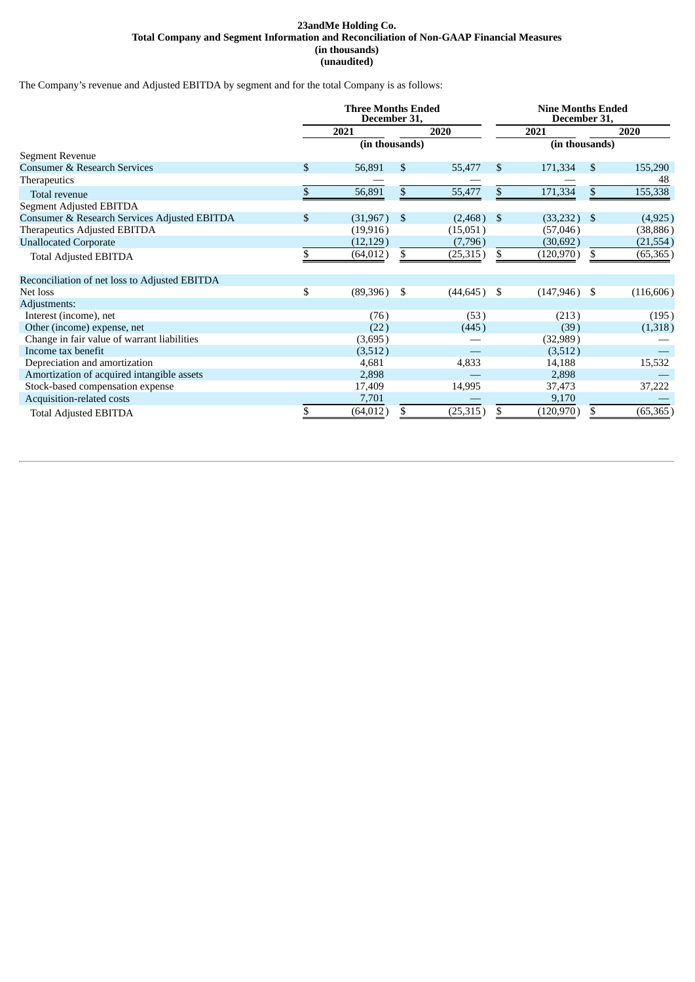#### **23andMe Holding Co. Total Company and Segment Information and Reconciliation of Non-GAAP Financial Measures (in thousands) (unaudited)**

The Company's revenue and Adjusted EBITDA by segment and for the total Company is as follows:

|                                               | <b>Three Months Ended</b><br>December 31, |                |              | <b>Nine Months Ended</b><br>December 31, |      |                |      |            |
|-----------------------------------------------|-------------------------------------------|----------------|--------------|------------------------------------------|------|----------------|------|------------|
|                                               |                                           | 2020<br>2021   |              | 2021                                     |      | 2020           |      |            |
|                                               |                                           | (in thousands) |              |                                          |      | (in thousands) |      |            |
| Segment Revenue                               |                                           |                |              |                                          |      |                |      |            |
| Consumer & Research Services                  | \$                                        | 56,891         | \$           | 55,477                                   | \$   | 171,334        | \$   | 155,290    |
| Therapeutics                                  |                                           |                |              |                                          |      |                |      | 48         |
| Total revenue                                 |                                           | 56,891         | $\mathbb{S}$ | 55,477                                   | \$   | 171,334        | \$   | 155,338    |
| Segment Adjusted EBITDA                       |                                           |                |              |                                          |      |                |      |            |
| Consumer & Research Services Adjusted EBITDA  | \$                                        | (31, 967)      | \$           | (2,468)                                  | - \$ | (33, 232)      | \$   | (4,925)    |
| Therapeutics Adjusted EBITDA                  |                                           | (19, 916)      |              | (15,051)                                 |      | (57,046)       |      | (38, 886)  |
| <b>Unallocated Corporate</b>                  |                                           | (12, 129)      |              | (7,796)                                  |      | (30, 692)      |      | (21, 554)  |
| <b>Total Adjusted EBITDA</b>                  |                                           | (64, 012)      | \$           | (25, 315)                                | \$.  | (120, 970)     | \$   | (65, 365)  |
| Reconciliation of net loss to Adjusted EBITDA |                                           |                |              |                                          |      |                |      |            |
| Net loss                                      | \$                                        | (89,396)       | - \$         | $(44, 645)$ \$                           |      | (147, 946)     | - \$ | (116, 606) |
| Adjustments:                                  |                                           |                |              |                                          |      |                |      |            |
| Interest (income), net                        |                                           | (76)           |              | (53)                                     |      | (213)          |      | (195)      |
| Other (income) expense, net                   |                                           | (22)           |              | (445)                                    |      | (39)           |      | (1,318)    |
| Change in fair value of warrant liabilities   |                                           | (3,695)        |              |                                          |      | (32,989)       |      |            |
| Income tax benefit                            |                                           | (3,512)        |              |                                          |      | (3,512)        |      |            |
| Depreciation and amortization                 |                                           | 4,681          |              | 4,833                                    |      | 14,188         |      | 15,532     |
| Amortization of acquired intangible assets    |                                           | 2,898          |              |                                          |      | 2,898          |      |            |
| Stock-based compensation expense              |                                           | 17,409         |              | 14,995                                   |      | 37,473         |      | 37,222     |
| Acquisition-related costs                     |                                           | 7,701          |              |                                          |      | 9,170          |      |            |
| <b>Total Adjusted EBITDA</b>                  |                                           | (64, 012)      | \$           | (25, 315)                                |      | (120, 970)     | \$   | (65, 365)  |